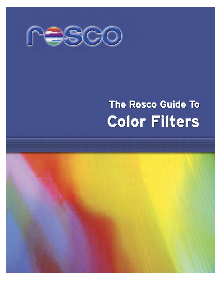

# The Rosco Guide To **Color Filters**

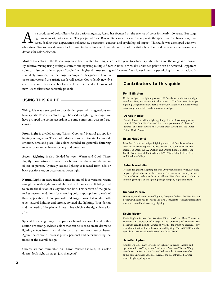s a producer of color filters for the performing arts, Rosco has focussed on the science of color for nearly 100 years. But stage lighting is an art, not a science. The people who use Rosco filters are artists who manipulate the spectrum to enhance stage pictures, dealing with appearance, reflectance, perception, contrast and psychological impact. This guide was developed with two objectives. First to provide some background in the science to those who utilize color artistically and second, to offer some recommendations for color selection.

Most of the colors in the Rosco range have been created by designers over the years to achieve specific effects and the range is extensive. By additive mixing using multiple sources and by using multiple filters in units, a virtually unlimited palette can be achieved. Apparent color can also be made to appear "cooler" at a higher dimmer setting and "warmer" at a lower intensity, permitting further variation. It

is unlikely, however, that the range is complete. Designers will continue to innovate and the artistic needs will evolve. Coincidently new dye chemistry and plastics technology will permit the development of new Rosco filters not currently possible.

## **USING THIS GUIDE**

This guide was developed to provide designers with suggestions on how specific Roscolux colors might be used for lighting the stage. We have grouped the colors according to some commonly accepted categories.

**Front Light** is divided among Warm, Cool, and Neutral groups for lighting acting areas. These color distinctions help to establish mood, emotion, time and place. The colors included are generally flattering to skin tones and enhance scenery and costumes.

**Accent Lighting** is also divided between Warm and Cool. These slightly more saturated colors may be used to shape and define an object or person. Typically, accent lighting is focused from side or back positions or, on occasion, as down light.

**Natural Light** on stage usually comes in one of four variants: warm sunlight, cool daylight, moonlight, and cyclorama wash lighting used to create the illusion of a sky/horizon line. This section of the guide makes recommendations for choosing colors appropriate to each of these applications. Here you will find suggestions that render both true, natural lighting and strong, stylized sky lighting. Your design and the needs of the play will determine which is the right choice for you.

**Special Effects** lighting encompasses a broad category. Listed in this section are strong, stylized colors that can be used to create dramatic lighting effects from fire and rain to surreal, ominous atmospheres. Again, the choice of color is purely personal and determined by the needs of the overall design.

Choices are not immutable. As Tharon Musser has said, "If a color doesn't look right on stage, just change it!"

## **Contributors to this guide**

#### **Ken Billington**

He has designed the lighting for over 50 Broadway productions and garnered six Tony nominations in the process. The long term Principal Lighting Designer for New York's Radio City Music Hall, he has worked extensively in television and architectural design.

#### **Donald Holder**

Donald Holder's brilliant lighting design for the Broadway production of "The Lion King" earned him the triple crown of theatrical awards: The Tony Award, the Drama Desk Award and the Outer Critics Circle Award.

#### **Brian MacDevitt**

Brian MacDevitt has designed lighting on and off Broadway in New York and in major regional theatres around the country. His awards include an Obie, the LA Ovation and Drama Logue, a Bessie and Lucille Lortel Award. He teaches at NYU Tisch School of the Arts and Purchase College.

#### **Peter Maradudin**

He has designed the lighting for over 200 productions for virtually every major regional theatre in the country. He has earned nearly a dozen Drama Critics Circle awards in six different West Coast cities. He is the founding principal of the lighting design company, Light and Truth.

#### **Richard Pilbrow**

Widely regarded as the dean of lighting designers for both the West End and Broadway, he also heads Theatre Projects Consultants. He has authored two much acclaimed books on stage lighting.

#### **Kevin Rigdon**

Kevin Rigdon is now the Associate Director of the Alley Theatre in Houston and Professor of Design at the University of Houston. His Broadway credits include "Grapes of Wrath", for which he received Tony Award nominations for both scenery and lighting, "Buried Child" and the revivals "A Streetcar Named Desire" and "Our Town".

#### **Jennifer Tipton**

Jennifer Tipton's many awards for lighting in dance, theatre and opera include two Tonys, two Bessies, two American Theatre Wing awards, two Obies and two Drama Desk Awards. A veteran teacher at the Yale University School of Drama, she has influenced a generation of lighting designers.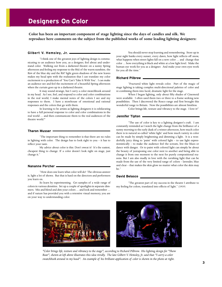# **Designers On Color**

**Color has been an important component of stage lighting since the days of candles and silk. We reproduce here comments on the subject from the published works of some leading lighting designers:**

#### **Gilbert V. Hemsley, Jr.**

"I think one of the greatest joys of lighting design is communicating to an audience how you, as a designer, feel about and understand color. Walking out from a darkened theatre on a sunny Spring afternoon and feeling my response to the R02 of the warm sunshine, the R64 of the blue sky and the R87 light green shadows of the new leaves makes my head spin with the realization that I can translate my color excitement to a production of 'You Can't Take It With You'. I can make an audience see and feel the excitement of a beautiful Spring afternoon when the curtain goes up in a darkened theatre.

It may sound strange, but I carry a color swatchbook around in my head. As I see, feel, and respond to color and color combinations in the real world, I make mental notes of the colors I see and my responses to them. I have a storehouse of emotional and rational responses and the colors that go with them.

In learning to be artists as lighting designers it is exhilarating to have a full personal response to color and color combinations in the real world … and then communicate them to the real audiences of the theatre world."

#### **Tharon Musser**

"The important thing to remember is that there are no rules in lighting with color. The design has to look right to you – it has to reflect your taste.

My advice about color is this: Don't sweat it! It's the easiest, cheapest thing to change. If a color doesn't look right on stage, just change it."

#### **Nananne Porcher**

"How does one learn what color will do? The obvious answer is, light a lot of shows. But that is hard on the directors and performers you learn on.

So learn by experimenting. Get samples of a wide range of colors in various densities. Set up a couple of spotlights in separate dimmers. Mix and blend and dim your colors … and look and remember … and if nature has provided you with a retentive visual memory, you are on your way to understanding color.

You should never stop learning and remembering. Store up in your sight banks every sunset, every dawn, how light reflects off snow, what happens when street lights fall on a new color … and change that color … how everything is black and white at a low light level. Make the human eye work for you as a designer. And make your own eyes work for you all the time."

#### **Richard Pilbrow**

"Fractured white light reveals color. Part of the magic of stage lighting is taking complex multi-directional palettes of color and re-combining them into lucid, dramatic light for the stage.

When I began lighting, only about fifty shades of Cinemoid were available. I often used them two or three to a frame seeking new possibilities. Then I discovered the Rosco range and first brought this wonderful range to Britain. Now the possibilities are almost limitless.

Color brings life, texture and vibrancy to the stage. I love it!"

#### **Jennifer Tipton**

"The use of color is key to a lighting designer's craft. I am constantly reminded as I watch the light change from the brilliance of a sunny morning to the early dusk of a winter afternoon, how much color there is in natural so-called 'white light' and how much variety in color can be made by simply brightening and dimming a light. It is a wonderfully juicy thing to 'paint' with colored light – to use light expressionistically – to make the audience feel the scream, live the blues or dance with danger. Or to paint with colored light can simply be about the beauty of juxtaposing one color next to another and being able to change it from one moment to the next for purely compositional reasons. But I am also madly in love with the ravishing light that can be made from the use of the very limited range of colors – lavender, blue and clear – that makes the skin glow no matter what color the skin may be."

#### **David Belasco**

"The greatest part of my success in the theatre I attribute to my feeling for colors, translated into effects of light." (1919)



*"Color brings life, texture and vibrancy to the stage", according to Richard Pilbrow. His lighting design for "Show Boat", shown at left above illustrates this idea vividly. The late Gilbert V. Hemsley, Jr. said that "I carry a color swatchbook around in my head". An example of his brilliant application of color is shown in the photo at right.*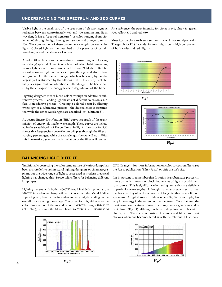## **UNDERSTANDING THE SPECTRUM AND SED CURVES**

Visible light is the small part of the spectrum of electromagnetic radiation between approximately 400 and 700 nanometers. Each wavelength has a "spectral signature", or color, ranging from violet at 400 through indigo, blue, green, yellow and orange to red at 700. The combination of these colored wavelengths creates white light. Colored light can be described as the presence of certain wavelengths and the absence of others.

A color filter functions by selectively transmitting or blocking (absorbing) spectral elements of a beam of white light emanating from a light source. For example, a Roscolux 27 Medium Red filter will allow red light frequencies to pass through and absorb blue and green. Of the radiant energy which is blocked, by far the largest part is absorbed by the filter as heat. This is why heat stability is a significant consideration in filter design. The heat created by the absorption of energy leads to degradation of the filter.

Lighting designers mix or blend colors through an additive or subtractive process. Blending light beams of different colors on a surface is an additive process. Creating a colored beam by filtering white light is a subtractive process – the desired color is transmitted while the other wavelengths are absorbed (or "subtracted").

A Spectral Energy Distribution (SED) curve is a graph of the transmission of energy plotted by wavelength. These curves are included in the swatchbooks of Rosco filters. In Fig. 1, the curve for R27 shows that frequencies above 620 nm will pass through the filter at varying percentages, while the wavelengths below will not. With this information, you can predict what color the filter will render.

As a reference, the peak intensity for violet is 440, blue 480, green 520, yellow 570 and red, 650.

Most Rosco colors are blends so the curve will have multiple peaks. The graph for R54 Lavender for example, shows a high component of both violet and red.(Fig. 2)





## **BALANCING LIGHT OUTPUT**

Traditionally, correcting the color temperature of various lamps has been a chore left to architectural lighting designers or cinematographers, but the wide range of light sources used in modern theatrical lighting has changed this. Rosco offers filters for balancing different lamp types.

Lighting a scene with both a 4000°K Metal Halide lamp and also a 3200°K incandescent lamp will result in either the Metal Halide appearing very blue, or the incandescent very red, depending on the overall balance of light on stage. To correct for this, either raise the color temperature of the incandescent to 4000°K using R3204 (1/2 CTB Blue), or lower the Metal Halide to 3200°K with R3409 (1/4



CTO Orange). For more information on color correction filters, see the Rosco publication "Filter Facts" or visit the web site.

It is important to remember that filtration is a subtractive process … filters can only transmit or block frequencies of light, not add them to a source. This is significant when using lamps that are deficient in particular wavelengths. Although many lamp types seem attractive because they offer the economy of long life, they have a limited spectrum. A typical metal halide source, (Fig. 3) for example, has very little energy in the red end of the spectrum. Note that even the most common theatrical source, the tungsten-halogen or incandescent lamp (Fig. 4) although rich in red/yellow, is deficient in blue/green. These characteristics of sources and filters are most obvious when one becomes familiar with the relevant SED curves.

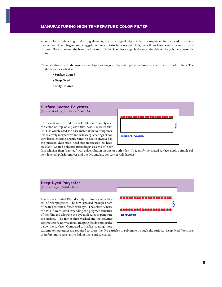## **MANUFACTURING HIGH TEMPERATURE COLOR FILTER**

A color filter combines light refracting elements, normally organic dyes, which are suspended in or coated on a transparent base. Rosco began producing gelatin filters in 1910, but since the 1950s, color filters have been fabricated on plastic bases. Polycarbonate, the base used for most of the Roscolux range, is the most durable of the polymers currently utilized.

There are three methods currently employed to integrate dyes with polymer bases in order to create color filters. The products are described as:

- **Surface Coated**
- **Deep Dyed**
- **Body Colored**

## **Surface Coated Polyester**

(Rosco E-Colour, Lee Filter, Apollo Gel)

The easiest way to produce a color filter is to simply coat the color on top of a plastic film base. Polyester film (PET) is widely used as a base material for coloring since it is relatively inexpensive and will accept coatings of solvent-based coloring agents. Since no heat is involved in the process, dyes used need not necessarily be heatresistant. Coated polyester filters begin as a roll of clear



film which is then "painted" with a dye solution on one or both sides. To identify the coated surface, apply a simple solvent like nail polish remover and the dye and lacquer carrier will dissolve.

## **Deep-Dyed Polyester**

(Rosco Cinegel, GAM Filter)

Like surface coated PET, deep dyed film begins with a roll of clear polyester. The film is passed through a bath of heated solvent suffused with dye. The solvent causes the PET film to swell expanding the polymer structure of the film and allowing the dye molecules to penetrate the surface. The film is then washed and the polymer contracts to its normal form, trapping the dye molecules below the surface. Compared to surface coating, more



extreme temperatures are required to cause the dye particles to sublimate through the surface. Deep-dyed filters are, therefore, more resistant to fading than surface coated.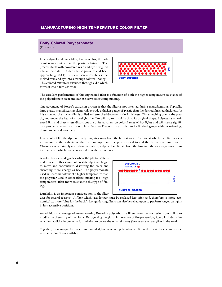## **Body-Colored Polycarbonate** (Roscolux)

In a body-colored color filter, like Roscolux, the colorant is inherent within the plastic substrate. The process starts with powdered resin and dye being fed into an extruder. Under intense pressure and heat approaching 600ºF, the drive screw combines the melted resin and dye into a through-colored "honey". This colored mixture is extruded through a die which forms it into a film 24" wide.



The excellent performance of this engineered filter is a function of both the higher temperature resistance of the polycarbonate resin and our exclusive color-compounding.

One advantage of Rosco's extrusion process is that the filter is not oriented during manufacturing. Typically, large plastic manufacturing plants will extrude a thicker gauge of plastic than the desired finished thickness. As it is extruded, the thicker film is pulled and stretched down to its final thickness. This stretching orients the plastic, and under the heat of a spotlight, the film will try to shrink back to its original shape. Polyester is an oriented film and these stress distortions are quite apparent on color frames of hot lights and will create significant problems when used in scrollers. Because Roscolux is extruded to its finished gauge without orienting, these problems do not occur.

In any color filter the dye eventually migrates away from the hottest area. The rate at which the filter fades is a function of the stability of the dye employed and the process used to add the dye to the base plastic. Obviously, when simply coated on the surface, a dye will sublimate from the base into the air as a gas more easily than a dye which has been locked in with the core resin.

A color filter also degrades when the plastic softens under heat. In this semi-molten state, dyes can begin to move and concentrate, distorting the color and absorbing more energy as heat. The polycarbonate used in Roscolux softens at a higher temperature than the polyester used in other filters, making it a "high temperature" filter more resistant to this type of fading.

Durability is an important consideration to the filter



user for several reasons. A filter which lasts longer must be replaced less often and, therefore, is more economical … more "blue for the buck". Longer lasting filters can also be relied upon to perform longer on lights in less accessible positions.

An additional advantage of manufacturing Roscolux polycarbonate filters from the raw resin is our ability to modify the chemistry of the plastic. Recognizing the global importance of fire prevention, Rosco includes a fire retardant additive in our resin formulation to create the only *inherently flame retardant color filter* in the world.

Together, these unique features make extruded, body-colored polycarbonate filters the most durable, most fade resistant color filters available.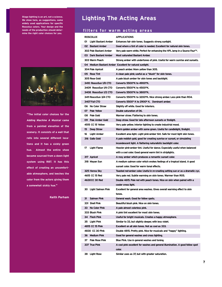**Stage lighting is an art, not a science. We show here, as suggestions, some widely used applications for specific Roscolux colors. Your design and the needs of the production should determine the right color choices for you.**



**"The initial color choices for the** *Adding Machine A Musical* **came from a painted elevation of the scenery. It consists of a wall that rolls into several different locations and it has a sickly green hue. Almost the entire show became sourced from a down light system using R87. It has this effect of creating an uncomfortable atmosphere, and leeches the color from the actors giving them a somewhat sickly hue."**

**Keith Parham**

# **Lighting The Acting Areas**

## **filters for warm acting areas**

| <b>ROSCOLUX</b>               | <b>APPLICATIONS</b>                                                              |  |  |
|-------------------------------|----------------------------------------------------------------------------------|--|--|
| 01 Light Bastard Amber        | Enhances fair skin tones. Suggests strong sunlight.                              |  |  |
| 02 Bastard Amber              | Good where a tint of color is needed. Excellent for natural skin tones.          |  |  |
| 302 Pale Bastard Amber        | Very pale warm white. Perfect for enhancing the HPL lamp in a Source Four™.      |  |  |
| 03 Dark Bastard Amber         | <b>Most saturated Bastard Amber.</b>                                             |  |  |
| 303 Warm Peach                | Strong amber with undertones of pink. Useful for warm sunrise and sunsets.       |  |  |
|                               | 04 Medium Bastard Amber Excellent for natural sunlight.                          |  |  |
|                               |                                                                                  |  |  |
| 304 Pale Apricot              | A peach amber. More yellow than 305.                                             |  |  |
| 05 Rose Tint<br>305 Rose Gold | A clean pale pink; useful as a "blush" for skin tones.                           |  |  |
|                               | A pale blush amber for skin tones and backlight.                                 |  |  |
| 3410 RoscoSun 1/8 CTO         | Converts 5500°K to 4900°K.                                                       |  |  |
| 3409 RoscoSun 1/4 CTO         | Converts 5500°K to 4500°K.                                                       |  |  |
| 3408 RoscoSun 1/2 CTO         | Converts 5500°K to 3800°K.                                                       |  |  |
| 3411 RoscoSun 3/4 CTO         | Converts 5500°K to 3200°K. Nice strong amber. Less pink than RO4.                |  |  |
| 3407 Full CTO                 | Converts 5500° K to 2900° K. Dominant amber.                                     |  |  |
| 06 No Color Straw             | Slightly off white. Good for interiors.                                          |  |  |
| 07 Pale Yellow                | Double saturation of O6.                                                         |  |  |
| 08 Pale Gold                  | Warmer straw. Flattering to skin tones.                                          |  |  |
| 09 Pale Amber Gold            | Deep straw. Good for late afternoon sunsets or firelight.                        |  |  |
| 4515 CC 15 Yellow             | Very pale yellow. Interior lighting to create industrial mood.                   |  |  |
| 15<br>Deep Straw              | Warm golden amber with some green. Useful for candlelight, firelight.            |  |  |
| 16<br>Light Amber             | Excellent area light. Light pink-amber tint. Safe for most light skin tones.     |  |  |
| 316 Gallo Gold                | A pale reddish gold, good for creating sunrise or sunset, or simulating          |  |  |
|                               | incandescent light. A flattering naturalistic backlight color.                   |  |  |
| 17<br><b>Light Flame</b>      | Heavier pink-amber tint. Useful for dance. Especially useful when balanced       |  |  |
|                               | with a cool color. Good general warm tint in striplights.                        |  |  |
| 317 Apricot                   | A rosy amber which produces a romantic sunset color.                             |  |  |
| 318 Mayan Sun                 | A medium salmon color which evokes feelings of a tropical island. A good         |  |  |
|                               | sunset color. Good for warm tonal effects.                                       |  |  |
| 325 Henna Sky                 | Toasted red-amber color. Useful in re-creating setting sun or as a dramatic cyc. |  |  |
| 4615 CC 15 Red                | Very pale red. Subtle warming on skin tones. Warmer than RO5.                    |  |  |
| 4630CC 30 Red                 | Double 4615. Pale red with peach tones. Nice on skin when paired with a          |  |  |
|                               | cooler cross light.                                                              |  |  |
| 30 Light Salmon Pink          | Excellent for general area washes. Gives overall warming effect to skin          |  |  |
|                               | tones.                                                                           |  |  |
| 31<br>Salmon Pink             | General wash. Good for follow spots.                                             |  |  |
| 331 Shell Pink                | Beautiful blush pink. Nice on skin tones.                                        |  |  |
| 33<br><b>No Color Pink</b>    | A pale almost colorless pink.                                                    |  |  |
| 333 Blush Pink                | A pink tint excellent for most skin tones.                                       |  |  |
| 34 -<br>Flesh Pink            | Useful for bright musicals. Creates a happy atmosphere.                          |  |  |
| <b>Light Pink</b><br>35       | Similar to 33, but slightly deeper, with less violet.                            |  |  |
| 4815 CC 15 Pink               | Excellent on all skin tones. Not as cool as 333.                                 |  |  |
| 4830 CC 30 Pink               | Double 4815. Pretty pink. Nice for musicals and "happy" lighting.                |  |  |
| 36 Medium Pink                | Good for general washes and cross lighting.                                      |  |  |
| Pale Rose Pink<br>37          | Blue Pink. Use in general washes and toning.                                     |  |  |
|                               |                                                                                  |  |  |
| 337 True Pink                 | A cool pink excellent for washes and general illumination. A good follow spot    |  |  |
|                               | color.                                                                           |  |  |
| Light Rose<br>38              | Similar uses as 37, but with greater saturation.                                 |  |  |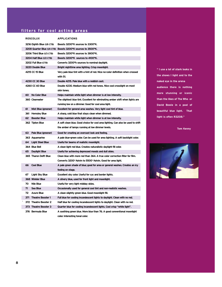## **filters for cool acting areas**

| <b>ROSCOLUX</b>           |                            |                         | <b>APPLICATIONS</b>                                                                       |  |  |
|---------------------------|----------------------------|-------------------------|-------------------------------------------------------------------------------------------|--|--|
|                           | 3216 Eighth Blue (1/8 CTB) |                         | Boosts 3200°K sources to 3300°K.                                                          |  |  |
|                           |                            |                         | 3208 Quarter Blue (1/4 CTB) Boosts 3200°K sources to 3500°K.                              |  |  |
| 3206 Third Blue (1/3 CTB) |                            |                         | Boosts 3200°K sources to 3800°K.                                                          |  |  |
|                           | 3204 Half Blue (1/2 CTB)   |                         | Boosts 3200°K sources to 4100°K.                                                          |  |  |
|                           | 3202 Full Blue (CTB)       |                         | Converts 3200°k sources to nominal daylight.                                              |  |  |
|                           | 3220 Double Blue           |                         | Bright nighttime area lighting. Crisp moonlight.                                          |  |  |
|                           | 4215 CC 15 Blue            |                         | Very pale blue tint with a hint of red. Nice no-color definition when crossed<br>with 51. |  |  |
|                           |                            | 4230 CC 30 Blue         | Double 4215. Pale blue with a reddish cast.                                               |  |  |
|                           |                            | 4260 CC 60 Blue         | Double 4230. Medium blue with red tones. Nice cool crosslight on most                     |  |  |
|                           |                            |                         | skin tones.                                                                               |  |  |
|                           | 60                         | No Color Blue           | Helps maintain white light when dimmer is at low intensity.                               |  |  |
|                           |                            | 360 Clearwater          | The slightest blue tint. Excellent for eliminating amber shift when lights are            |  |  |
|                           |                            |                         | running low on a dimmer. Good for cool area light.                                        |  |  |
|                           | 61                         | Mist Blue (greener)     | Excellent for general area washes. Very light cool tint of blue.                          |  |  |
|                           |                            | 361 Hemsley Blue        | A sharp, cold blue that stays clean when dimmed.                                          |  |  |
|                           | 62                         | <b>Booster Blue</b>     | Helps maintain white light when dimmer is at low intensity.                               |  |  |
|                           |                            | 362 Tipton Blue         | A soft clean blue. Good choice for cool area lighting. Can also be used to shift          |  |  |
|                           |                            |                         | the amber of lamps running at low dimmer levels.                                          |  |  |
|                           | 63                         | Pale Blue (greener)     | Good for creating an overcast look and feeling.                                           |  |  |
|                           |                            | 363 Aquamarine          | A pale blue-green color. Can be used for area lighting. A soft backlight color.           |  |  |
|                           | 64 -                       | <b>Light Steel Blue</b> | Useful for beams of realistic moonlight.                                                  |  |  |
|                           |                            | 364 Blue Bell           | A clean light red blue. Creates naturalistic daylight fill color.                         |  |  |
|                           | 65                         | Daylight Blue           | Useful for achieving depressed moods and dull skies.                                      |  |  |
|                           |                            | 365 Tharon Delft Blue   | Clean blue with more red than 364. A true color correction filter for film.               |  |  |
|                           |                            |                         | Converts 3200° Kelvin to 5500° Kelvin. Good for area light.                               |  |  |
|                           | 66 -                       | <b>Cool Blue</b>        | A pale green shade of blue; good for area or general washes. Creates an icy               |  |  |
|                           |                            |                         | feeling on stage.                                                                         |  |  |
|                           | 67                         | Light Sky Blue          | Excellent sky color. Useful for cyc and border lights.                                    |  |  |
|                           |                            | 368 Winkler Blue        | A silvery blue, used for front light and moonlight.                                       |  |  |
|                           | 70                         | Nile Blue               | Useful for very light midday skies.                                                       |  |  |
|                           | 71                         | Sea Blue                | Occasionally used for general cool tint and non-realistic washes.                         |  |  |
|                           | 72                         | Azure Blue              | A clean slightly green blue. Good moonlight fill.                                         |  |  |
|                           |                            | 371 Theatre Booster 1   | Full blue for cooling incandescent lights to daylight. Clean with no red.                 |  |  |
|                           |                            | 372 Theatre Booster 2   | Half blue for cooling incandescent lights to daylight. Clean with no red.                 |  |  |
|                           |                            | 373 Theatre Booster 3   | Quarter blue for cooling incandescent lights. Cool crisp "white light".                   |  |  |
|                           |                            | 376 Bermuda Blue        | A soothing green blue. More blue than 76. A good conventional moonlight                   |  |  |
|                           |                            |                         | color. Interesting tonal color.                                                           |  |  |

**" I use a lot of stark looks in the shows I light and to the naked eye in the arena audience there is nothing more stunning or iconic than the likes of The Who or David Bowie in a pool of beautiful blue light. That light is often R3208."**

**Tom Kenny** 

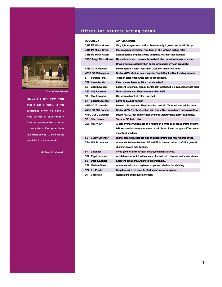

*Photo credit: Jay Westhauser*

**"R302 is a soft, warm white that is not a 'color'. In this particular show we have a wide variety of skin tones from porcelain white to Asian to very dark. Everyone looks like themselves ... so I would say R302 is a success!"**

**Michael Chybowski**

# **filters for neutral acting areas**

| <b>ROSCOLUX</b>               | <b>APPLICATIONS</b>                                                                |  |
|-------------------------------|------------------------------------------------------------------------------------|--|
| 3318 1/8 Minus Green          | Very light magenta correction. Removes slight green cast in HPL lamps.             |  |
| 3314 1/4 Minus Green          | Pale magenta correction. Nice tone on skin without adding color.                   |  |
| 3313 1/2 Minus Green          | Light magenta brightens blues and pinks. Warmer than lavender.                     |  |
| 3308 Tough Minus Green        | Nice pale lavender. Use a cool crosslight when paired with pink or amber.          |  |
|                               | Or as a warm crosslight when paired with a blue or violet crosslight.              |  |
| 4715 CC 15 Magenta            | Pale magenta. Cooler than 3318. Useful on many skin tones.                         |  |
| 4730 CC 30 Magenta            | Double 4715. Medium cool magenta. Nice fill light without adding warmth.           |  |
| 51<br><b>Surprise Pink</b>    | Touch of color when white light is not desirable.                                  |  |
| 351 Lavender Mist             | Pale, no-color lavender. Nice cool white light.                                    |  |
| 52<br><b>Light Lavender</b>   | Excellent for general area or border light washes. It is a basic followspot color. |  |
| 353 Lilly Lavender            | Nice cool lavender. Slightly warmer than R55.                                      |  |
| Pale Lavender<br>53           | Use when a touch of color is needed.                                               |  |
| <b>Special Lavender</b><br>54 | Same as 53, but warmer.                                                            |  |
| 4915 CC 15 Lavender           | Pale no color lavender. Slightly cooler than 351. Tones without adding color.      |  |
| 4930 CC 30 Lavender           | Double 4915. Excellent cool on skin tones. Nice warm tones during nighttime.       |  |
| 4960 CC60 Lavender            | Double 4930. Rich comfortable lavender. Compliments darker skin tones.             |  |
| 55 Lilac (bluer)              | Same as 53, but cooler.                                                            |  |
| 355 Pale Violet               | A cool lavender which acts as a neutral in a three color area lighting system.     |  |
|                               | Will work well as a wash for drops or set pieces. Tones the space. Effective as    |  |
|                               | moonlight shadows.                                                                 |  |
| <b>Gypsy Lavender</b><br>56   | Highly saturated, good for side and backlighting and non-realistic effect.         |  |
| 356 Middle Lavender           | A lavender halfway between 52 and 57 in hue and value. Useful for general          |  |
|                               | illumination and side-lighting.                                                    |  |
| 57<br>Lavender                | Gives good visibility without destroying night illusions.                          |  |
| 357 Royal Lavender            | A rich lavender which will enhance blue and red costumes and scenic pieces.        |  |
| 58<br>Deep Lavender           | <b>Excellent back light. Enhances dimensionality.</b>                              |  |
| 359 Medium Violet             | A lavender with a strong blue component, ideal for backlighting.                   |  |
| 377 Iris Purple               | Deep blue with red accents. Dark nighttime atmosphere.                             |  |
| 99<br>Chocolate               | Warms light and reduces intensity.                                                 |  |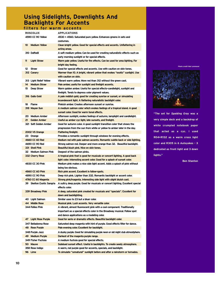# **Using Sidelights, Downlights And Backlights For Accents**

| filters for warm accents   |                                                                                 |
|----------------------------|---------------------------------------------------------------------------------|
| <b>ROSCOLUX</b>            | <b>APPLICATIONS</b>                                                             |
| 4590 CC 90 Yellow          | 4530 + 4560. Saturated pure yellow. Enhances greens in sets and                 |
|                            | costumes.                                                                       |
| <b>Medium Yellow</b><br>10 | Clean bright yellow. Good for special effects and accents. Unflattering in      |
|                            | acting areas.                                                                   |
| 310 Daffodil               | A soft medium yellow. Can be used for creating naturalistic effects such as     |
|                            | early morning sunlight or for special effects.                                  |
| <b>Light Straw</b><br>11   | Warm pale yellow. Useful for fire effects. Can be used for area lighting. For   |
|                            | bright day feeling.                                                             |
| 12 Straw                   | Good for special effects and accents. Use with caution on skin tones.           |
| 312 Canarv                 | Warmer than 10. A bright, vibrant yellow that evokes "exotic" sunlight. Use     |
|                            | with caution on skin.                                                           |
| 313 Light Relief Yellow    | Vibrant warm yellow. More red than 312 without the green cast.                  |
| 14 Medium Straw            | Pale amber, useful for sunlight and firelight accents.                          |
| 15<br>Deep Straw           | Warm golden amber. Useful for special effects-candlelight, sunlight and         |
|                            | firelight. Tends to depress color pigment values.                               |
| 316 Gallo Gold             | A pale reddish gold, good for creating sunrise or sunset, or simulating         |
|                            | incandescent light. A flattering naturalistic backlight color.                  |
| 18 Flame                   | Pinkish amber. Creates afternoon sunset or sunrise.                             |
| 318 Mayan Sun              | A medium salmon color which evokes feelings of a tropical island. A good        |
|                            | sunset color. Good for warm tonal effects.                                      |
| 20 Medium Amber            | Afternoon sunlight, evokes feelings of autumn, lamplight and candlelight.       |
| 21 Golden Amber            | Useful as amber cyc light, late sunsets, and firelight.                         |
| 321 Soft Golden Amber      | Good for autumn color. A good sunlight transition color that shows the          |
|                            | progression from the sun from white or yellow to amber later in the day.        |
| 2002 VS Orange             | <b>Flattering firelight.</b>                                                    |
| 23 Orange                  | Provides a romantic sunlight through windows for evening effects.               |
| 4660 CC 60 Red             | Medium red with pale salmon accents. Romantic subtle back or side lighting.     |
| 4690 CC 90 Red             | Strong salmon red. Deeper and more orange than 32. Beautiful backlight.         |
| 331 Shell Pink             | Beautiful blush pink. Nice on skin tones.                                       |
| 32 Medium Salmon Pink      | Deepest of the salmon pinks.                                                    |
| 332 Cherry Rose            | A tropical pink that is good for musicals or concert lighting. A good back      |
|                            | light color. Interesting accent color. Good for a splash of sunset color.       |
| 4830 CC 30 Pink            | Medium pink makes a nice side light accent. Adds a splash of pink without       |
|                            | being too obvious.                                                              |
| 4860 CC 60 Pink            | Rich pink accent. Excellent in follow-spots.                                    |
| 4890 CC 90 Pink            | Deep rich pink. Lighter than 332. Romantic backlight or accent color.           |
| 4760 CC 60 Magenta         | Strong pink/magenta. Interesting side light with slight bluish cast.            |
| 39 Skelton Exotic Sangria  | A sultry, deep purple. Good for musicals or concert lighting. Excellent special |
|                            | effects color.                                                                  |
| 339 Broadway Pink          | A deep, saturated pink created for musicals and "specials". Excellent for       |
|                            | down and backlighting.                                                          |
| 40 Light Salmon            | Similar uses to 23 but a bluer color.                                           |
| 44 Middle Rose             | Musical pink. Lush accents. Very versatile color.                               |
| 344 Follies Pink           | A vibrant, almost fluorescent pink with a cool component. Traditionally         |
|                            | important as a special effects color in the Broadway musical. Follow spot       |
|                            | and dance applications as a modeling color.                                     |
| 47 Light Rose Purple       | Good for eerie or dramatic effects. Beautiful backlight color.                  |
| 347 Belladonna Rose        | Saturated deep magenta with hint of purple. Good effects filter for dance.      |
| 48 Rose Purple             | Pale evening color. Excellent for backlight.                                    |
| 348 Purple Jazz            | A dusky purple. Good for simulating purple neon or old night club atmostphere.  |
| 49 Medium Purple           | Darkest of the magenta purple range.                                            |
| 349 Fisher Fuchsia         | A medium fuchsia good for special effects.                                      |
| 50 Mauve                   | Subdued sunset effect. Useful in backlights. To create seedy atmosphere.        |
| 358 Rose Indigo            | A warm, red purple good for accents, specials, and backlight.                   |
| 96 Lime                    | To simulate "unnatural" sunlight before and after a rainstorm or tornados.      |

*Photo credit Rod Lemmond*



**"The set for** *Spalding Gray* **was a very simple deck and a backdrop of white crumpled notebook paper that acted as a cyc. I used R04+R132 as a warm cross light color and R305 in 6 Autoyokes - 3 dedicated as front light and 3 down lights."**

**Ben Stanton**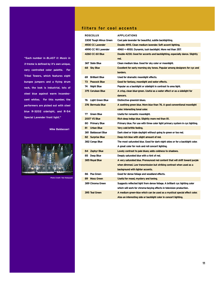**"Each number in** *BLAST II: Music in X-treme* **is defined by it's own unique, very controlled color palette. For Tribal Towers, which features eight bungee jumpers and a flying drum rack, the look is industrial, lots of steel blue against warm incandescent whites. For this number, the performers are picked out with steel blue R-3202 sidelight, and R-54 Special Lavender front light."**

#### **Mike Baldassari**



*Photo Credit: Yow Ko* 

## **filters for cool accents**

| <b>ROSCOLUX</b>         | <b>APPLICATIONS</b>                                                          |  |
|-------------------------|------------------------------------------------------------------------------|--|
| 3308 Tough Minus Green  | Cool pale lavender for beautiful, subtle backlighting.                       |  |
| 4930 CC Lavender        | Double 4915. Clean medium lavender. Soft accent lighting.                    |  |
| 4990 CC 90 Lavender     | 4960 + 4930. Dynamic, lush backlight. More red than 357.                     |  |
| 4260 CC 60 Blue         | Double 4230. Good for accents and backlighting, especially dance. Slightly   |  |
|                         | red.                                                                         |  |
| 367 Slate Blue          | Clean medium blue. Good for sky color or moonlight.                          |  |
| 68 Sky Blue             | Excellent for early morning sky tones. Popular among designers for cyc and   |  |
|                         | borders.                                                                     |  |
| 69 Brilliant Blue       | Used for dramatic moonlight effects.                                         |  |
| 73 Peacock Blue         | Good for fantasy, moonlight and water effects.                               |  |
| 74 Night Blue           | Popular as a backlight or sidelight in contrast to area light.               |  |
| 375 Cerulean Blue       | A crisp, clean blue-green. Useful as a water effect or as a sidelight for    |  |
|                         | dancers.                                                                     |  |
| 76 Light Green Blue     | Distinctive greenish blues.                                                  |  |
| 376 Bermuda Blue        | A soothing green blue. More blue than 76. A good conventional moonlight      |  |
|                         | color. Interesting tonal color.                                              |  |
| 77 Green Blue           | Useful for romantic moonlight.                                               |  |
| <b>2007 VS Blue</b>     | Rich deep indigo blue. Slightly more red than 81.                            |  |
| 80 Primary Blue         | Primary blue. For use with three color light primary system in cyc lighting. |  |
| 81<br><b>Urban Blue</b> | Very cold brittle feeling.                                                   |  |
| 381 Baldassari Blue     | Dark steel or triple daylight without going to green or too red.             |  |
| 82 Surprise Blue        | Deep rich blue with slight amount of red.                                    |  |
| 382 Congo Blue          | The most saturated blue. Good for dark night skies or for a backlight color. |  |
|                         | A great color for rock and roll concert lighting.                            |  |
| 84 Zephyr Blue          | Lovely contrast to pale blues; adds coldness to shadows.                     |  |
| 85 Deep Blue            | Deeply saturated blue with a hint of red.                                    |  |
| 385 Royal Blue          | A very saturated blue. Pronounced red content that will shift toward purple  |  |
|                         | when dimmed. Low transmission but striking contrast when used as a           |  |
|                         | background with lighter accents.                                             |  |
| 86 Pea Green            | Good for dense foliage and woodland effects.                                 |  |
| 89 Moss Green           | Useful for mood, mystery and toning.                                         |  |
| 389 Chroma Green        | Suggests reflected light from dense foliage. A brilliant cyc lighting color  |  |
|                         | which will work for chroma-keying effects in television production.          |  |
| 395 Teal Green          | A medium green-blue which can be used as a mystical special effect color.    |  |
|                         | Also an interesting side or backlight color in concert lighting.             |  |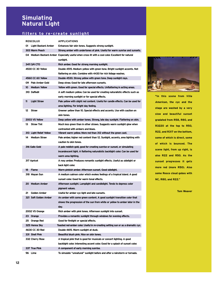# **Simulating Natural Light**

## **filters to re-create sunlight**

| <b>ROSCOLUX</b>                 | <b>APPLICATIONS</b>                                                                                            |  |  |  |
|---------------------------------|----------------------------------------------------------------------------------------------------------------|--|--|--|
| 01 Light Bastard Amber          | Enhances fair skin tones. Suggests strong sunlight.                                                            |  |  |  |
| 303 Warm Peach                  | Strong amber with undertones of pink. Useful for warm sunrise and sunsets.                                     |  |  |  |
|                                 | 04 Medium Bastard Amber Especially useful when cross lit with a cool color. Excellent for natural<br>sunlight. |  |  |  |
| 3411 3/4 CTO                    | Rich amber. Good for strong morning sunlight.                                                                  |  |  |  |
| 4530 CC 30 Yellow               | Double 4515. Medium yellow with green tone. Bright sunlight accents. Not                                       |  |  |  |
|                                 | flattering on skin. Combine with 4430 for rich foliage washes.                                                 |  |  |  |
| 4560 CC 60 Yellow               | Double 4530. Strong yellow with green tone. Deep sunlight rays.                                                |  |  |  |
| 09 Pale Amber Gold              | Deep straw. Good for late afternoon sunsets.                                                                   |  |  |  |
| <b>Medium Yellow</b><br>$10-10$ | Yellow with green. Good for special effects. Unflattering in acting areas.                                     |  |  |  |
| 310 Daffodil                    | A soft medium yellow. Can be used for creating naturalistic effects such as                                    |  |  |  |
|                                 | early morning sunlight or for special effects.                                                                 |  |  |  |
| 11<br><b>Light Straw</b>        | Pale yellow with slight red content. Useful for candle effects. Can be used for                                |  |  |  |
|                                 | area lighting. For bright day feeling.                                                                         |  |  |  |
| 12<br>Straw                     | Greener yellow than 10. Special effects and accents. Use with caution on                                       |  |  |  |
|                                 | skin tones.                                                                                                    |  |  |  |
| 2003 VS Yellow                  | Deep yellow with amber tones. Strong, late day sunlight. Flattering on skin.                                   |  |  |  |
| <b>Straw Tint</b><br>13         | Much less green than in other straws. Suggests warm sunlight glow when                                         |  |  |  |
|                                 | contrasted with ambers and blues.                                                                              |  |  |  |
| 313 Light Relief Yellow         | Vibrant warm yellow. More red than 312 without the green cast.                                                 |  |  |  |
| 14<br><b>Medium Straw</b>       | Pale amber, higher red content than 12. Sunlight, accents, area lighting with                                  |  |  |  |
|                                 | caution to skin tones.                                                                                         |  |  |  |
| 316 Gallo Gold                  | A pale reddish gold, good for creating sunrise or sunset, or simulating                                        |  |  |  |
|                                 | incandescent light. A flattering naturalistic backlight color. Can be used for                                 |  |  |  |
|                                 | warm area lighting.                                                                                            |  |  |  |
| 317 Apricot                     | A rosy amber. Produces romantic sunlight effects. Useful as sidelight or                                       |  |  |  |
|                                 | back light color.                                                                                              |  |  |  |
| 18<br><b>Flame</b>              | Warm pinkish amber. Afternoon sunset. Good sidelight.                                                          |  |  |  |
| 318 Mayan Sun                   | A medium salmon color which evokes feelings of a tropical island. A good                                       |  |  |  |
|                                 | sunset color. Good for warm tonal effects.                                                                     |  |  |  |
| 20 Medium Amber                 | Afternoon sunlight. Lamplight and candlelight. Tends to depress color                                          |  |  |  |
|                                 | pigment values.                                                                                                |  |  |  |
| Golden Amber<br>21              | Useful for amber cyc light and late sunsets.                                                                   |  |  |  |
| 321 Soft Golden Amber           | An amber with some green content. A good sunlight transition color that                                        |  |  |  |
|                                 | shows the progression of the sun from white or yellow to amber later in the                                    |  |  |  |
|                                 | day.                                                                                                           |  |  |  |
| 2002 VS Orange                  | Rich amber with pink tones. Afternoon sunlight into sunset.                                                    |  |  |  |
| 23<br>Orange                    | Provides a romantic sunlight through windows for evening effects.                                              |  |  |  |
| 25 Orange Red                   | Good for firelight or special effects.                                                                         |  |  |  |
| 325 Henna Sky                   | Toasted red-amber color. Useful in re-creating setting sun or as a dramatic cyc.                               |  |  |  |
| 4630 CC 30 Red                  | Double 4615. Warm sunlight at dusk.                                                                            |  |  |  |
| 331 Shell Pink                  | Beautiful blush pink. Nice on skin tones.                                                                      |  |  |  |
| 332 Cherry Rose                 | A tropical pink that is good for musicals or concert lighting. A good                                          |  |  |  |
|                                 | backlight color. Interesting accent color. Good for a splash of sunset color.                                  |  |  |  |
| 337 True Pink                   | A component of early morning sunrise.                                                                          |  |  |  |
| 96 Lime                         | To simulate "unnatural" sunlight before and after a rainstorm or tornado.                                      |  |  |  |



**"In this scene from** *Villa American***, the cyc and the stage are washed by a very slow and beautiful sunset gradated from R58, R80, and R3220 at the top to R50, R22, and R317 on the bottom, some of which is direct, some of which is bounced. The scene light, from up right, is also R22 and R50. As the sunset progresses it gets more red (more R50). Also some Rosco cloud gobos with NC, R80, and R22."**

**Tom Weaver**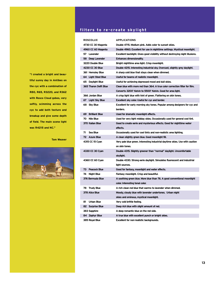## **filters to re-create skylight**

| <b>APPLICATIONS</b><br><b>ROSCOLUX</b>                                      |                                                                                |  |  |
|-----------------------------------------------------------------------------|--------------------------------------------------------------------------------|--|--|
| 4730 CC 30 Magenta<br>Double 4715. Medium pink. Adds color to sunset skies. |                                                                                |  |  |
| 4960 CC 60 Magenta                                                          | Double 4960. Excellent for use in nighttime settings. Mystical moonlight.      |  |  |
| 57 Lavender                                                                 | Excellent backlight. Gives good visibility without destroying night illusions. |  |  |
| 58 Deep Lavender                                                            | <b>Enhances dimensionality.</b>                                                |  |  |
| 3220 Double Blue                                                            | Bright nighttime area light. Crisp moonlight.                                  |  |  |
| 4230 CC 30 Blue                                                             | Double 4215. Interesting industrial sky. Overcast, slightly grey daylight.     |  |  |
| 361 Hemsley Blue                                                            | A sharp cold blue that stays clean when dimmed.                                |  |  |
| 64 Light Steel Blue<br>Useful for beams of realistic moonlight.             |                                                                                |  |  |
| 65 Daylight Blue                                                            | Useful for achieving depressed mood and dull skies.                            |  |  |
| 365 Tharon Delft Blue                                                       | Clean blue with more red than 364. A true color correction filter for film.    |  |  |
|                                                                             | Converts 3200° Kelvin to 5500° Kelvin. Good for area light.                    |  |  |
| 366 Jordan Blue                                                             | A crisp light blue with hint of green. Flattering on skin tones.               |  |  |
| 67 Light Sky Blue                                                           | Excellent sky color. Useful for cyc and border.                                |  |  |
| 68 Sky Blue                                                                 | Excellent for early morning sky tones. Popular among designers for cyc and     |  |  |
|                                                                             | borders.                                                                       |  |  |
| 69 Brilliant Blue                                                           | Used for dramatic moonlight effects.                                           |  |  |
| 70 Nile Blue                                                                | Used for very light midday skies. Occasionally used for general cool tint.     |  |  |
| 370 Italian Blue                                                            | Good to create eerie and mysterious effects. Good for nighttime water          |  |  |
|                                                                             | effects.                                                                       |  |  |
| 71 Sea Blue                                                                 | Occasionally used for cool tints and non-realistic area lighting.              |  |  |
| 72 Azure Blue                                                               | A clean slightly green blue. Good moonlight fill.                              |  |  |
| 4315 CC 15 Cyan                                                             | Very pale blue green. Interesting industrial daytime skies. Use with caution   |  |  |
|                                                                             | on skin tones.                                                                 |  |  |
| 4330 CC 30 Cyan                                                             | Double 4315. Slightly greener than "normal" daylight. Uncomfortable            |  |  |
|                                                                             | skylight.                                                                      |  |  |
| 4360 CC 60 Cyan                                                             | Double 4330. Strong eerie daylight. Simulates fluorescent and industrial       |  |  |
|                                                                             | light sources.                                                                 |  |  |
| 73 Peacock Blue                                                             | Good for fantasy, moonlight and water effects.                                 |  |  |
| 74 Night Blue                                                               | Fantasy moonlight. Crisp and beautiful.                                        |  |  |
| 376 Bermuda Blue                                                            | A soothing green blue. More blue than 76. A good conventional moonlight        |  |  |
|                                                                             | color. Interesting tonal color.                                                |  |  |
| 78 Trudy Blue                                                               | A rich clean red blue that warms to lavender when dimmed.                      |  |  |
| 378 Alice Blue                                                              | Moody, cloudy blue with lavender undertones. Urban night                       |  |  |
|                                                                             | skies and ominous, mystical moonlight.                                         |  |  |
| 81 Urban Blue                                                               | Very cold brittle feeling.                                                     |  |  |
| 82 Surprise Blue                                                            | Deep rich blue with slight amount of red.                                      |  |  |
| 383 Sapphire                                                                | A deep romantic blue on the red side.                                          |  |  |
| 84 Zephyr Blue                                                              | A true blue with excellent punch or bright skies.                              |  |  |
| 385 Royal Blue                                                              | Excellent for non-realistic backgrounds.                                       |  |  |

**"I created a bright and beautiful sunny day in Antibes on the cyc with a combination of R80, R65, R3220, and R362 with Rosco Cloud gobos, very softly, scimming across the cyc to add both texture and breakup and give some depth of field. The main scene light was R4215 and NC."**

**Tom Weaver**

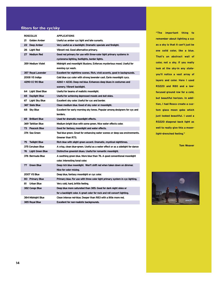## **filters for the cyc/sky**

| <b>ROSCOLUX</b>        | <b>APPLICATIONS</b>                                                                         |  |  |
|------------------------|---------------------------------------------------------------------------------------------|--|--|
| 21 Golden Amber        | Useful as amber cyc light and late sunsets.                                                 |  |  |
| 22 Deep Amber          | Very useful as a backlight. Dramatic specials and firelight.                                |  |  |
| 26 Light Red           | Vibrant red. Good alternative primary.                                                      |  |  |
| 27 Medium Red          | Good red primary for use with three-color light primary systems in                          |  |  |
|                        | cyclorama lighting, footlights, border lights.                                              |  |  |
| 359 Medium Violet      | Midnight and moonlight illusions. Enforces mysterious mood. Useful for<br>evening cyc wash. |  |  |
| 357 Royal Lavender     | Excellent for nighttime scenes. Rich, vivid accents, good in backgrounds.                   |  |  |
| 2008 VS Indigo         | Cold blue cyc color with strong lavender cast. Eerie moonlight cycs.                        |  |  |
| 4290 CC 90 Blue        | 4260 + 4230. Deep red blue. Enhances deep blues in costumes and                             |  |  |
|                        | scenery. Vibrant backlight.                                                                 |  |  |
| 64 Light Steel Blue    | Useful for beams of realistic moonlight.                                                    |  |  |
| Daylight Blue<br>65 -  | Useful for achieving depressed moods and dull skies.                                        |  |  |
| Light Sky Blue<br>67 - | Excellent sky color. Useful for cyc and border.                                             |  |  |
| 367 Slate Blue         | Clean medium blue. Good of sky color or moonlight.                                          |  |  |
| 68 Sky Blue            | Excellent for early morning sky tones. Popular among designers for cyc and                  |  |  |
|                        | borders.                                                                                    |  |  |
| 69 Brilliant Blue      | Used for dramatic moonlight effects.                                                        |  |  |
| 369 Tahitian Blue      | Medium bright blue with some green. Nice water effects color.                               |  |  |
| 73 Peacock Blue        | Good for fantasy, moonlight and water effects.                                              |  |  |
| 374 Sea Green          | Teal blue green. Great for enhancing water scenes or deep sea environments.                 |  |  |
|                        | Greener than R73.                                                                           |  |  |
| 75 Twilight Blue       | Rich blue with slight green accent. Dramatic, mystical nighttimes.                          |  |  |
| 375 Cerulean Blue      | A crisp, clean blue-green. Useful as a water effect or as a sidelight for dance             |  |  |
| 76 Light Green Blue    | Distinctive greenish blues. Useful for romantic moonlight.                                  |  |  |
| 376 Bermuda Blue       | A soothing green blue. More blue than 76. A good conventional moonlight                     |  |  |
|                        | color. Interesting tonal color.                                                             |  |  |
| 77 Green Blue          | Deep rich blue moonlight. Won't shift red when taken down on dimmer.                        |  |  |
|                        | Nice for color mixing.                                                                      |  |  |
| <b>2007 VS Blue</b>    | Deep blue, fantasy moonlight or cyc color.                                                  |  |  |
| 80 Primary Blue        | Primary blue. For use with three color light primary system in cyc lighting.                |  |  |
| 81 Urban Blue          | Very cold, hard, brittle feeling.                                                           |  |  |
| 382 Congo Blue         | Deep blue more saturated than 385. Good for dark night skies or                             |  |  |
|                        | for a backlight color. A great color for rock and roll concert lighting.                    |  |  |
| 384 Midnight Blue      | Clean intense red-blue. Deeper than R83 with a little more red.                             |  |  |
| 385 Royal Blue         | Excellent for non-realistic backgrounds.                                                    |  |  |

**"The important thing to remember about lighting a cyc as a sky is that it can't just be one solid color, like a blue. That's an abstract wall of color, not a sky. If you really look at the sky-in any stateyou'll notice a vast array of layers and color. Here I used R3220 and R80 and a lowfocused ground row for a cold, but beautiful horizon. In addition, I had Rosco create a custom glass moon gobo which just looked beautiful. I used a R3220 diagonal back light as well to really give this a moonlight-drenched feeling."**

**Tom Weaver**

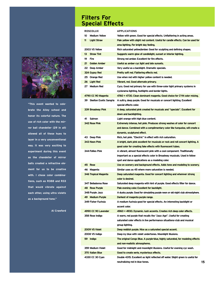

**"This event wanted to celebrate the Ailey school and honor its colorful nature. The use of rich color with the mirror ball chandelier (29 in all) allowed all of these hues to layer in a very unconventional way. It was very exciting to experiment during this event as the chandelier of mirror balls created a refractive element for us to be creative with. I chose color combinations, such as R388 and R33 that would vibrate against each other, using ultra violets as a background tone."**

**Al Crawford**

# **Filters For Special Effects**

| <b>ROSCOLUX</b>            | <b>APPLICATIONS</b>                                                                                              |  |
|----------------------------|------------------------------------------------------------------------------------------------------------------|--|
| 10<br><b>Medium Yellow</b> | Yellow with green. Good for special effects. Unflattering in acting areas.                                       |  |
| 11<br><b>Light Straw</b>   | Pale yellow with slight red content. Useful for candle effects. Can be used for                                  |  |
|                            | area lighting. For bright day feeling.                                                                           |  |
| 2003 VS Yellow             | Rich saturated yellow/amber. Good for sculpting and defining shapes.                                             |  |
| <b>Straw Tint</b><br>13    | Suggests warm glow of candlelight, sunset or interior lighting.                                                  |  |
| 19<br><b>Fire</b>          | Strong red amber. Excellent for fire effects.                                                                    |  |
| 21<br><b>Golden Amber</b>  | Useful as amber cyc light and late sunsets.                                                                      |  |
| 22 Deep Amber              | Very useful as a backlight. Dramatic specials.                                                                   |  |
| 324 Gypsy Red              | Pretty soft red. Flattering effects red.                                                                         |  |
| 25 Orange Red              | Use when red with higher yellow content is needed.                                                               |  |
| 26 Light Red               | Vibrant, red. Good alternate primary.                                                                            |  |
| 27 Medium Red              | Cycs. Good red primary for use with three-color light primary systems in                                         |  |
|                            | cyclorama lighting, footlights and border lights.                                                                |  |
| 4790 CC 90 Magenta         | 4760 + 4730. Clean dominant magenta. Good choice for CYM color mixing.                                           |  |
| 39 Skelton Exotic Sangria  | A sultry, deep purple. Good for musicals or concert lighting. Excellent                                          |  |
|                            | special effects color.                                                                                           |  |
| 339 Broadway Pink          | A deep, saturated pink created for musicals and "specials". Excellent for                                        |  |
|                            | down and backlighting.                                                                                           |  |
| 41<br><b>Salmon</b>        | Light orange with high blue content.                                                                             |  |
| 342 Rose Pink              | Extremely intense, hot pink. Produces strong washes of color for concert                                         |  |
|                            | and dance. Combined with a complimentary color like turquoise, will create a                                     |  |
|                            | dynamic, sculptured effect.                                                                                      |  |
| 43 Deep Pink               | Rich, hot pink. "Electric" in effect with rich saturation.                                                       |  |
| 343 Neon Pink              | A bright, dark pink excellent for musicals or rock and roll concert lighting. A                                  |  |
|                            | good color for creating fake effects with fluorescent tubes.                                                     |  |
| 344 Follies Pink           | A vibrant, almost fluorescent pink with a cool component. Traditionally                                          |  |
|                            | important as a special effects color in Broadway musicals. Used in follow                                        |  |
|                            | spot and dance applications as a modeling color.                                                                 |  |
| 45 Rose                    | Use on scenery and background effects. Adds tone and modeling to scenery.                                        |  |
| 46 Magenta                 | Similar uses as 45 where more saturation is needed.                                                              |  |
| 346 Tropical Magenta       | Deep saturated magenta. Good for concert lighting and wherever strong                                            |  |
|                            | color is desired.                                                                                                |  |
| 347 Belladonna Rose        | Saturated deep magenta with hint of purple. Good effects filter for dance.                                       |  |
| <b>48 Rose Purple</b>      | Pale evening color. Excellent for backlight.                                                                     |  |
| 348 Purple Jazz            | A dusky purple. Good for simulating purple neon or old night club atmostphere.                                   |  |
| 49 Medium Purple           | Darkest of magenta purple range.                                                                                 |  |
| 349 Fisher Fuchsia         | A medium fuchsia good for special effects. An interesting backlight or                                           |  |
|                            | accent color.                                                                                                    |  |
| 4990 CC 90 Lavender        | 4960 + 4930. Dynamic. lush accents. Creates rich deep color effects.                                             |  |
| 358 Rose Indigo            | A warm, red purple that recalls the "Jazz Age". Useful for creating                                              |  |
|                            | saturated color effects in live performance situations-club and musical                                          |  |
|                            | group lighting.                                                                                                  |  |
| 2009 VS Violet             | Deep reddish purple. Nice as a saturated special accent.                                                         |  |
| 2008 VS Indigo             | Deep icy blue with violet undertones. Moonlight illusions.                                                       |  |
| 59 Indigo                  | The original Congo Blue. A purple-blue, highly saturated, for modeling effects<br>and non-realistic atmospheres. |  |
| 359 Medium Violet          | Good for midnight and moonlight illusions. Useful for evening cyc wash.                                          |  |
| 370 Italian Blue           | Good to create eerie, mysterious effects.                                                                        |  |
| 4330 CC 30 Cyan            | Double 4315. Excellent as light reflected off water. Slight green is useful for                                  |  |
|                            | neutralizing red in blue tones.                                                                                  |  |
|                            |                                                                                                                  |  |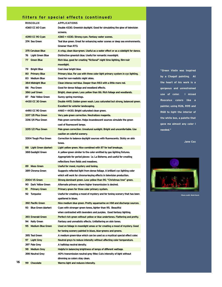## **filters for special effects (continued)**

| <b>ROSCOLUX</b>                    | <b>APPLICATIONS</b>                                                                                                                     |  |  |
|------------------------------------|-----------------------------------------------------------------------------------------------------------------------------------------|--|--|
| 4360 CC 60 Cyan                    | Double 4330. Greenish daylight. Good for simulating the glow of television                                                              |  |  |
|                                    | screens.                                                                                                                                |  |  |
| 4390 CC 90 Cyan                    | 4360 + 4330. Strong cyan. Fantasy water scenes.                                                                                         |  |  |
| 374 Sea Green                      | Teal blue green. Great for enhancing water scenes or deep sea environments.                                                             |  |  |
|                                    | Greener than R73.                                                                                                                       |  |  |
| 375 Cerulean Blue                  | A crisp, clean blue-green. Useful as a water effect or as a sidelight for dance.                                                        |  |  |
| 76 Light Green Blue                | Distinctive greenish blue. Useful for romantic moonlight.                                                                               |  |  |
| 77 Green Blue                      | Rich blue, good for creating "fictional" night time lighting, film-noir                                                                 |  |  |
|                                    | moonlight.                                                                                                                              |  |  |
| 79 Bright Blue                     | Cool clear bright blue.                                                                                                                 |  |  |
| 80 Primary Blue                    | Primary blue. For use with three color light primary system in cyc lighting.                                                            |  |  |
| 83 Medium Blue                     | Good for non-realistic night skies.                                                                                                     |  |  |
| 384 Midnight Blue                  | Clean intense red-blue. Deeper than R83 with a little more red.                                                                         |  |  |
| 86 Pea Green                       | Good for dense foliage and woodland effects.                                                                                            |  |  |
| 386 Leaf Green                     | Bright, clean green. Less yellow than 86. Rich foliage and woodlands.                                                                   |  |  |
| 87 Pale Yellow Green               | Sunny spring mornings.                                                                                                                  |  |  |
| 4430 CC 30 Green                   | Double 4415. Golden green wash. Less saturated but strong, balanced green.                                                              |  |  |
|                                    | <b>Excellent for exterior landscaping.</b>                                                                                              |  |  |
| 4490 CC 90 Green                   | 4460 + 4430. Bright saturated clean green.                                                                                              |  |  |
| 3317 1/8 Plus Green                | Very pale green correction. Neutralizes magenta.                                                                                        |  |  |
| 3316 1/4 Plus Green                | Pale green correction. Helps incandescent sources simulate the green                                                                    |  |  |
|                                    | cast of fluorescent lamps.                                                                                                              |  |  |
| 3315 1/2 Plus Green                | Pale green correction. Unnatural sunlight. Bright and uncomfortable. Use                                                                |  |  |
|                                    | caution on colorful scenery.                                                                                                            |  |  |
| 3304 Tough Plus Green              | Correction to balance daylight sources with fluorescents. Sickly on skin                                                                |  |  |
|                                    | tones.                                                                                                                                  |  |  |
| 88 Light Green (darker)            | Light yellow green. Nice combined with 87 for leaf breakups.                                                                            |  |  |
| 388 Gaslight Green                 | A yellow-green similar to the color emitted by gas lighting fixtures.                                                                   |  |  |
|                                    |                                                                                                                                         |  |  |
|                                    | Appropriate for period pieces: i.e. La Boheme, and useful for creating                                                                  |  |  |
|                                    | reflections from fields and meadows.                                                                                                    |  |  |
| 89 Moss Green                      | Useful for mood, mystery and toning.                                                                                                    |  |  |
| 389 Chroma Green                   | Suggests reflected light from dense foliage. A brilliant cyc lighting color                                                             |  |  |
|                                    | which will work for chroma-keying effects in television production.                                                                     |  |  |
| 2004 VS Green                      | Strong dominant green. Less yellow than 90. "Christmas tree" green.                                                                     |  |  |
| 90 Dark Yellow Green               | Alternate primary where higher transmission is desired.                                                                                 |  |  |
| 91<br><b>Primary Green</b>         | Primary green for three color primary system.                                                                                           |  |  |
| 92 Turguoise                       | Useful for creating a mood of mystery and for toning scenery that has been                                                              |  |  |
|                                    | spattered in blues.                                                                                                                     |  |  |
| 392 Pacific Green                  | Nice medium blue green. Pretty aguamarine on HMI and discharge sources.                                                                 |  |  |
| 93 Blue Green (darker)             | Cyan with stronger green tones, lighter than 95. Beautiful                                                                              |  |  |
|                                    | when contrasted with lavenders and purples. Good fantasy lighting.                                                                      |  |  |
| 393 Emerald Green                  | Perfect rich green without yellow or blue undertones. Flattering and pretty.                                                            |  |  |
| 94 Kelly Green                     | Fantasy and unrealistic effects. Unflattering on skin tones.                                                                            |  |  |
| 95 Medium Blue Green               | Used on foliage in moonlight areas or for creating a mood of mystery. Good                                                              |  |  |
|                                    | for toning scenery painted in blues, blue-greens and greens.                                                                            |  |  |
| 395 Teal Green                     | A medium green-blue which can be used as a mystical special effect color.                                                               |  |  |
| 97 Light Grey                      | Neutral greys to reduce intensity without affecting color temperature.                                                                  |  |  |
| 397 Pale Grey                      | A halfstop neutral density.                                                                                                             |  |  |
| 98 Medium Grey<br>398 Neutral Grey | Helpful in balancing brightness of lamps of different wattage.<br>40% transmission neutral grey filter. Cuts intensity of light without |  |  |
|                                    | dimming so colors stay clean.                                                                                                           |  |  |
| 99 Chocolate                       | Warms light and reduces intensity.                                                                                                      |  |  |

**16**

**"***Green Violin* **was inspired by a Chagall painting. At the heart of his work is a gorgeous and unrestrained use of color. I mixed Roscolux colors like a painter, using R26, R95 and R68 to light the interior of the white box, a palette that gave me almost any color I needed."**

**Jane Cox**



*Photo credit: Mark Gavin*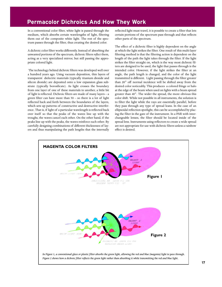# **Permacolor Dichroics And How They Work**

In a conventional color filter, white light is passed through the medium, which absorbs certain wavelengths of light, filtering them out of the composite white light. The rest of the spectrum passes through the filter, thus creating the desired color.

A dichroic color filter works differently. Instead of absorbing the unwanted portions of the spectrum, dichroic filters *reflect* them, acting as a very specialized mirror, but still passing the appropriate colored light.

The technology behind dichroic filters was developed well over a hundred years ago. Using vacuum deposition, thin layers of transparent dielectric materials (typically titanium dioxide and silicon dioxide) are deposited onto a low expansion glass substrate (typically borosilicate). As light crosses the boundary from one layer of one of these materials to another, a little bit of light is reflected. Dichroic filters are made of many layers – a green filter can have more than 50 – so there is a lot of light reflected back and forth between the boundaries of the layers, which sets up patterns of constructive and destructive interference. That is, if light of a particular wavelength is reflected back over itself so that the peaks of the waves line up with the troughs, the waves cancel each other. On the other hand, if the peaks line up with the peaks, the waves reinforce each other. By carefully designing combinations of different thicknesses of layers and thus manipulating the path lengths that the internally

reflected light must travel, it is possible to create a filter that lets certain portions of the spectrum pass through and that reflects other parts of the spectrum.

The effect of a dichroic filter is highly dependent on the angle at which the light strikes the filter. One result of this multi-layer filtering method is that the filtering action is dependent on the length of the path the light takes through the filter. If the light strikes the filter straight on, which is the way most dichroic filters are designed to be used, the light that passes through is the intended color. However, if the light strikes the filter at an angle, the path length is changed, and the color of the light transmitted is different. Light passing through the filter greater than 20° off normal incidence will be shifted away from the desired color noticeably. This produces a colored fringe or halo at the edge of the beam when used on lights with a beam spread greater than 40°. The wider the spread, the more obvious this color shift. While not possible in all instruments, the solution is to filter the light while the rays are essentially parallel, before they pass through any type of spread leans. In the case of an ellipsoidal reflection spotlight, this can be accomplished by placing the filter in the gate of the instrument. In a PAR with interchangeable lenses, the filter should be located inside of the spread lens. Instruments using reflectors to create a wide spread are not appropriate for use with dichroic filters unless a rainbow effect is desired.

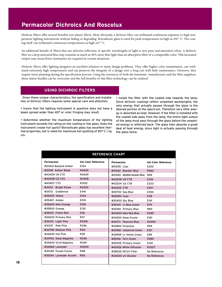# **Permacolor Dichroics And Roscolux**

Dichroic filters offer several benefits over plastic filters. Most obviously, a dichroic filter can withstand continuous exposure to high temperature lighting instruments without fading or degrading. Borosilicate glass is rated for peak temperatures as high as 450° C. The coating itself can withstand continuous temperatures as high 225° C.

An additional benefit of filters that use selective reflection of specific wavelengths of light is very pure and saturated colors. A dichroic filter in a deep saturated blue may transmit as much as 40% more blue light than an absorptive filter of a comparable color. This increased output may mean fewer luminaires are required in certain situations.

Dichroic filters offer lighting designers an excellent solution to many design problems. They offer higher color transmission, can withstand extremely high temperatures and can preserve the integrity of a design over a long run with little maintenance. However, they require more planning during the specification process. Using the resources of both the luminaire manufacturer and the filter suppliers, these minor hurdles can be overcome and the full benefits of this filter technology can be realized.

## **USING DICHROIC FILTERS**

Given these unique characteristics, the specification and installation of dichroic filters requires some special care and attention.

• Insure that the lighting instrument in question does not have a beam spread wider than 40° or color fringing may result.

• Determine whether the maximum temperature of the lighting instrument exceeds the rating on the coating or the glass. Does the instrument create hot spots? Borosilicate glass has excellent thermal properties, but is rated for maximum hot spotting of 90° C / sq. cm.

• Install the filter with the coated side towards the lamp. Since dichroic coatings reflect unwanted wavelengths, the only energy that actually passes through the glass is the desired portion of the spectrum. Therefore very little energy is absorbed as heat. However, if the filter is installed with the coated side away from the lamp, the entire light output of the lamp must pass through the glass before the unwanted energy is reflected back. The glass then absorbs a great deal of heat energy, since light is actually passing through the glass twice.

| <b>REFERENCE CHART</b> |                            |                               |                            |
|------------------------|----------------------------|-------------------------------|----------------------------|
| <b>Permacolor</b>      | <b>Gel Color Reference</b> | Permacolor                    | <b>Gel Color Reference</b> |
| #31002 Bastard Amber   | E154                       | #31055 Lilac                  | E202                       |
| #31018 Amber Blush     | R4630                      | #31062 Booster Blue           | R363                       |
| #43409 1/4 CTO         | R3409                      | #31065 Mediterranean Blue R69 |                            |
| #434081/2 CTO          | R3408                      | #43208 1/4 CTB                | E218                       |
| #43407 CTO             | R3102                      | #43204 1/2 CTB                | E203                       |
| #31012 Bright Straw    | R2003                      | #43202 CTB                    | E201                       |
| #31013 Goldenrod       | E441                       | #35700 Sea Blue               | E354                       |
| #35200 Yellow          | E104                       | #35590 Cyan                   | E118                       |
| #35401 Amber           | E015                       | #35400 Sky Blue               | E141                       |
| #35600 Med Orange      | E158                       | #35100 Lt Blue Green          | <b>R79</b>                 |
| #35900 Orange          | E135                       | #31080 Primary Blue           | <b>R80</b>                 |
| #36100 Flame Red       | E26                        | #34600 Med Red Blue           | R385                       |
| #36500 Primary Red     | <b>R27</b>                 | #34200 Deep Purple            | E181                       |
| #31033 Light Pink      | R3318                      | #31073 Peacock Blue           | R4390                      |
| #31337 Pale Pink       | R336                       | #34853 Turquoise              | R94                        |
| #34758 Medium Pink     | <b>R44</b>                 | #31086 Industrial Green       | E121                       |
| #34630 Hot Pink        | R39                        | #34959 Lt Yellow Green        | E89                        |
| #34763 Deep Magenta    | R346                       | #35156 Fern Green             | R389                       |
| #34640 Vivid Magenta   | R349                       | #35055 Primary Green          | E124                       |
| #34965 Lavender        | R2009                      | #43026 White Diffusion        | R3027                      |
| #31048 Purple Fusion   | <b>R58</b>                 | #38000 IR/UV Filter           | No Reference               |
| #31054 Lavender Accent | <b>R55</b>                 | #34000 UV Blocker             | No Reference               |
|                        |                            |                               |                            |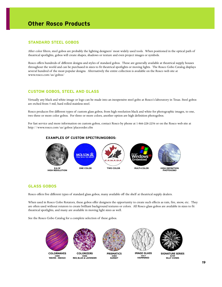# **Other Rosco Products**

## **STANDARD STEEL GOBOS**

After color filters, steel gobos are probably the lighting designers' most widely used tools. When positioned in the optical path of theatrical spotlights, gobos will create shapes, shadows or texture and even project images or symbols.

Rosco offers hundreds of different designs and styles of standard gobos. These are generally available at theatrical supply houses throughout the world and can be purchased in sizes to fit theatrical spotlights or moving lights. The Rosco Gobo Catalog displays several hundred of the most popular designs. Alternatively the entire collection is available on the Rosco web site at www.rosco.com/us/gobos/

## **CUSTOM GOBOS, STEEL AND GLASS**

Virtually any black and white image or logo can be made into an inexpensive steel gobo at Rosco's laboratory in Texas. Steel gobos are etched from 5 mil, hard rolled stainless steel.

Rosco produces five different types of custom glass gobos, from high resolution black and white for photographic images, to one, two three or more color gobos. For three or more colors, another option are high definition photogobos.

For fast service and more information on custom gobos, contact Rosco by phone at 1-866-228-2256 or on the Rosco web site at http://www.rosco.com/us/gobos/placeorder.cfm

#### **EXAMPLES OF CUSTOM SPECTRUMGOBOS:**



## **GLASS GOBOS**

Rosco offers five different types of standard glass gobos, many available off the shelf at theatrical supply dealers.

When used in Rosco Gobo Rotators, these gobos offer designers the opportunity to create such effects as rain, fire, snow, etc. They are often used without rotators to create brilliant background textures or colors. All Rosco glass gobos are available in sizes to fit theatrical spotlights, and many are available in moving light sizes as well.

See the Rosco Gobo Catalog for a complete selection of these gobos.



**COLORWAVES 33005 WAVES - INDIGO**



**COLORIZERS 55006 RED, BLUE & LAVENDER**



**PRISMATICS 43804 SUNSET**



**IMAGE GLASS 33617 HAMMERED**



**SIGNATURE SERIES 82709 SILLY CONES**